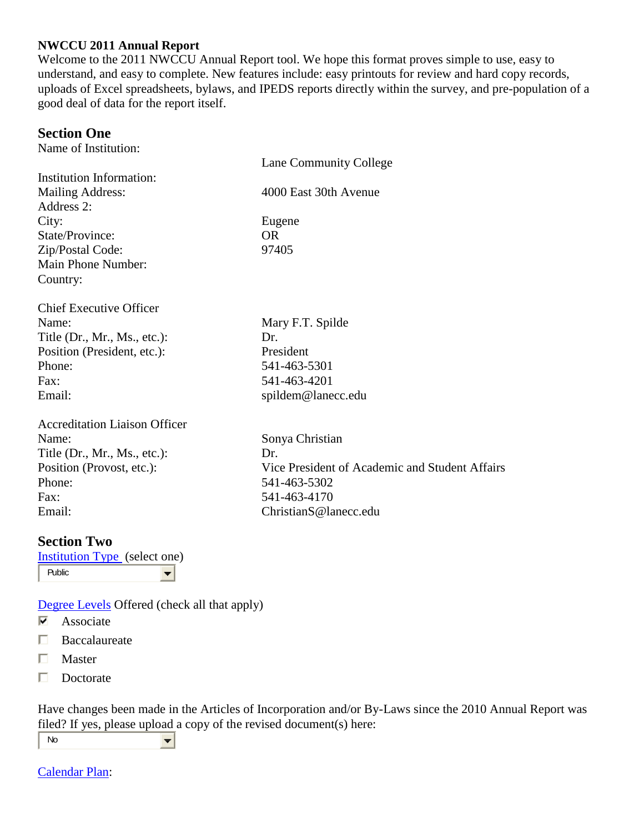#### **NWCCU 2011 Annual Report**

Welcome to the 2011 NWCCU Annual Report tool. We hope this format proves simple to use, easy to understand, and easy to complete. New features include: easy printouts for review and hard copy records, uploads of Excel spreadsheets, bylaws, and IPEDS reports directly within the survey, and pre-population of a good deal of data for the report itself.

### **Section One**

Name of Institution:

|                                      | Lane Community College                         |
|--------------------------------------|------------------------------------------------|
| Institution Information:             |                                                |
| <b>Mailing Address:</b>              | 4000 East 30th Avenue                          |
| Address 2:                           |                                                |
| City:                                | Eugene                                         |
| State/Province:                      | <b>OR</b>                                      |
| Zip/Postal Code:                     | 97405                                          |
| Main Phone Number:                   |                                                |
| Country:                             |                                                |
| <b>Chief Executive Officer</b>       |                                                |
| Name:                                | Mary F.T. Spilde                               |
| Title $(Dr., Mr., Ms., etc.):$       | Dr.                                            |
| Position (President, etc.):          | President                                      |
| Phone:                               | 541-463-5301                                   |
| $\text{Fax}:$                        | 541-463-4201                                   |
| Email:                               | spildem@lanecc.edu                             |
| <b>Accreditation Liaison Officer</b> |                                                |
| Name:                                | Sonya Christian                                |
| Title $(Dr., Mr., Ms., etc.):$       | Dr.                                            |
| Position (Provost, etc.):            | Vice President of Academic and Student Affairs |
| Phone:                               | 541-463-5302                                   |
| Fax:                                 | 541-463-4170                                   |
| Email:                               | ChristianS@lanecc.edu                          |
|                                      |                                                |

### **Section Two**

[Institution Type](http://www.nwccu.org/Pubs%20Forms%20and%20Updates/Forms/ARFAQ.htm) (select one) Public  $\left| \cdot \right|$ 

[Degree Levels](http://www.nwccu.org/Pubs%20Forms%20and%20Updates/Forms/ARFAQ.htm#4) Offered (check all that apply)

- ⊽ Associate
- П Baccalaureate
- П Master
- П Doctorate

Have changes been made in the Articles of Incorporation and/or By-Laws since the 2010 Annual Report was filed? If yes, please upload a copy of the revised document(s) here:

No  $\left| \cdot \right|$ 

[Calendar Plan:](http://www.nwccu.org/Pubs%20Forms%20and%20Updates/Forms/ARFAQ.htm#6)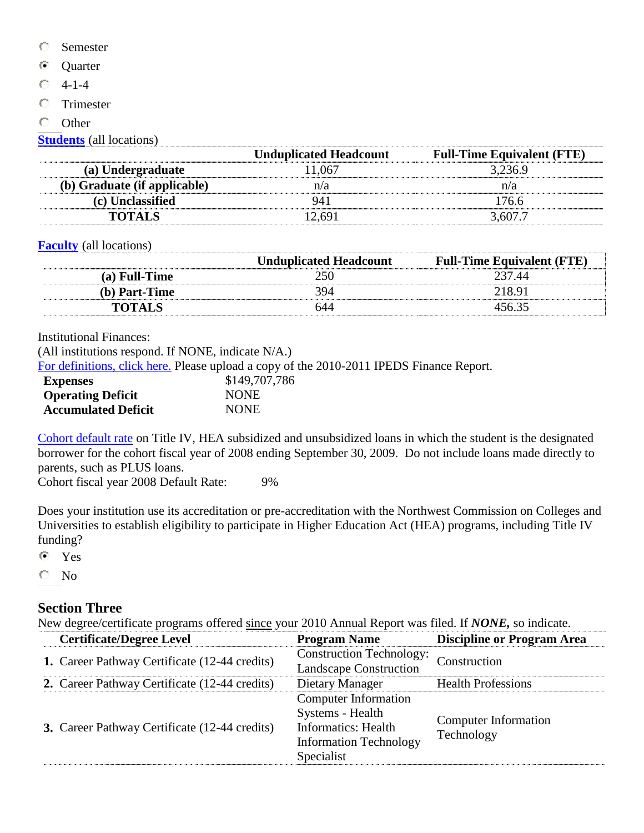- О Semester
- $\odot$ **Ouarter**
- 4-1-4 О
- $\circ$ Trimester
- $\circ$ **Other**

**[Students](http://www.nwccu.org/Pubs%20Forms%20and%20Updates/Forms/ARFAQ.htm#7)** (all locations)

|                              | <b>Unduplicated Headcount</b> | <b>Full-Time Equivalent (FTE)</b> |
|------------------------------|-------------------------------|-----------------------------------|
| (a) Undergraduate            | 11,067                        | 3,236.9                           |
| (b) Graduate (if applicable) | n/a                           | n/a                               |
| (c) Unclassified             | 941                           | 176.6                             |
| <b>TOTALS</b>                | 12.691                        | 3.607.7                           |

**[Faculty](http://www.nwccu.org/Pubs%20Forms%20and%20Updates/Forms/ARFAQ.htm#8)** (all locations)

|               | <b>Unduplicated Headcount</b> | <b>Full-Time Equivalent (FTE)</b> |
|---------------|-------------------------------|-----------------------------------|
| (a) Full-Time | 250                           | 237.44                            |
| (b) Part-Time | 394                           | 218.91                            |
| <b>TOTALS</b> | 644                           | 456.35                            |

Institutional Finances:

(All institutions respond. If NONE, indicate N/A.)

[For definitions, click here.](http://www.nwccu.org/Pubs%20Forms%20and%20Updates/Forms/ARFAQ.htm#9) Please upload a copy of the 2010-2011 IPEDS Finance Report.

| <b>Expenses</b>            | \$149,707,786 |  |  |
|----------------------------|---------------|--|--|
| <b>Operating Deficit</b>   | <b>NONE</b>   |  |  |
| <b>Accumulated Deficit</b> | <b>NONE</b>   |  |  |

[Cohort default rate](http://www.nwccu.org/Pubs%20Forms%20and%20Updates/Forms/ARFAQ.htm#13) on Title IV, HEA subsidized and unsubsidized loans in which the student is the designated borrower for the cohort fiscal year of 2008 ending September 30, 2009. Do not include loans made directly to parents, such as PLUS loans.

Cohort fiscal year 2008 Default Rate: 9%

Does your institution use its accreditation or pre-accreditation with the Northwest Commission on Colleges and Universities to establish eligibility to participate in Higher Education Act (HEA) programs, including Title IV funding?

 $\odot$ Yes

No О

## **Section Three**

New degree/certificate programs offered since your 2010 Annual Report was filed. If *NONE,* so indicate.

| <b>Certificate/Degree Level</b>               | <b>Program Name</b>                                                                                                          | <b>Discipline or Program Area</b>         |
|-----------------------------------------------|------------------------------------------------------------------------------------------------------------------------------|-------------------------------------------|
| 1. Career Pathway Certificate (12-44 credits) | <b>Construction Technology:</b><br><b>Landscape Construction</b>                                                             | Construction                              |
| 2. Career Pathway Certificate (12-44 credits) | Dietary Manager                                                                                                              | <b>Health Professions</b>                 |
| 3. Career Pathway Certificate (12-44 credits) | <b>Computer Information</b><br>Systems - Health<br><b>Informatics:</b> Health<br><b>Information Technology</b><br>Specialist | <b>Computer Information</b><br>Technology |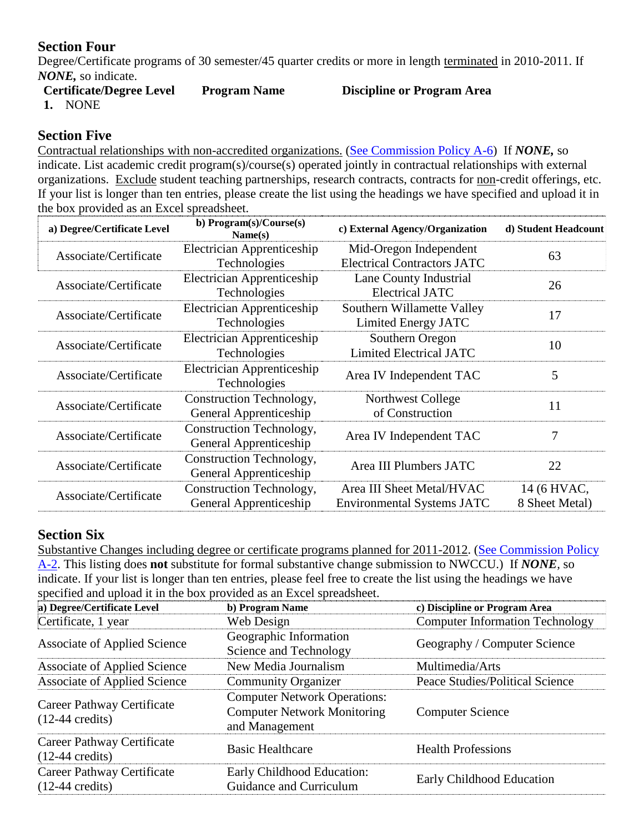# **Section Four**

Degree/Certificate programs of 30 semester/45 quarter credits or more in length terminated in 2010-2011. If *NONE,* so indicate.

| <b>Certificate/Degree Level</b> | <b>Program Name</b> | Discipline of |
|---------------------------------|---------------------|---------------|
| MANIE                           |                     |               |

#### **Certificate Program Area**

**1.** NONE

## **Section Five**

Contractual relationships with non-accredited organizations. [\(See Commission Policy A-6\)](http://www.nwccu.org/Standards%20and%20Policies/Operational%20Policies/Policy%20A6/Operational%20Policy%20A6.htm) If *NONE,* so indicate. List academic credit program(s)/course(s) operated jointly in contractual relationships with external organizations. Exclude student teaching partnerships, research contracts, contracts for non-credit offerings, etc. If your list is longer than ten entries, please create the list using the headings we have specified and upload it in the box provided as an Excel spreadsheet.

| a) Degree/Certificate Level | b) Program(s)/Course(s)<br>Name(s)                                                                         | c) External Agency/Organization                                | d) Student Headcount          |
|-----------------------------|------------------------------------------------------------------------------------------------------------|----------------------------------------------------------------|-------------------------------|
| Associate/Certificate       | Electrician Apprenticeship<br>Mid-Oregon Independent<br><b>Electrical Contractors JATC</b><br>Technologies |                                                                | 63                            |
| Associate/Certificate       | Electrician Apprenticeship<br>Technologies                                                                 | Lane County Industrial<br><b>Electrical JATC</b>               | 26                            |
| Associate/Certificate       | Electrician Apprenticeship<br>Technologies                                                                 | Southern Willamette Valley<br>Limited Energy JATC              | 17                            |
| Associate/Certificate       | Electrician Apprenticeship<br>Technologies                                                                 | Southern Oregon<br><b>Limited Electrical JATC</b>              | 10                            |
| Associate/Certificate       | Electrician Apprenticeship<br>Area IV Independent TAC<br>Technologies                                      |                                                                | 5                             |
| Associate/Certificate       | Construction Technology,<br>General Apprenticeship                                                         | Northwest College<br>of Construction                           |                               |
| Associate/Certificate       | Construction Technology,<br>General Apprenticeship                                                         | Area IV Independent TAC                                        | 7                             |
| Associate/Certificate       | Construction Technology,<br>General Apprenticeship                                                         | Area III Plumbers JATC                                         | 22                            |
| Associate/Certificate       | Construction Technology,<br>General Apprenticeship                                                         | Area III Sheet Metal/HVAC<br><b>Environmental Systems JATC</b> | 14 (6 HVAC,<br>8 Sheet Metal) |

# **Section Six**

Substantive Changes including degree or certificate programs planned for 2011-2012. [\(See Commission Policy](http://www.nwccu.org/Standards%20and%20Policies/Operational%20Policies/Policy%20A2/Operational%20Policy%20A2.htm)  [A-2.](http://www.nwccu.org/Standards%20and%20Policies/Operational%20Policies/Policy%20A2/Operational%20Policy%20A2.htm) This listing does **not** substitute for formal substantive change submission to NWCCU.) If *NONE,* so indicate. If your list is longer than ten entries, please feel free to create the list using the headings we have specified and upload it in the box provided as an Excel spreadsheet.

| a) Degree/Certificate Level                             | b) Program Name                                                                             | c) Discipline or Program Area          |
|---------------------------------------------------------|---------------------------------------------------------------------------------------------|----------------------------------------|
| Certificate, 1 year                                     | Web Design                                                                                  | <b>Computer Information Technology</b> |
| <b>Associate of Applied Science</b>                     | Geographic Information<br>Science and Technology                                            | Geography / Computer Science           |
| <b>Associate of Applied Science</b>                     | New Media Journalism                                                                        | Multimedia/Arts                        |
| <b>Associate of Applied Science</b>                     | <b>Community Organizer</b>                                                                  | Peace Studies/Political Science        |
| Career Pathway Certificate<br>$(12-44 \text{ credits})$ | <b>Computer Network Operations:</b><br><b>Computer Network Monitoring</b><br>and Management | <b>Computer Science</b>                |
| Career Pathway Certificate<br>$(12-44 \text{ credits})$ | <b>Basic Healthcare</b>                                                                     | <b>Health Professions</b>              |
| Career Pathway Certificate<br>$(12-44 \text{ credits})$ | Early Childhood Education:<br>Guidance and Curriculum                                       | Early Childhood Education              |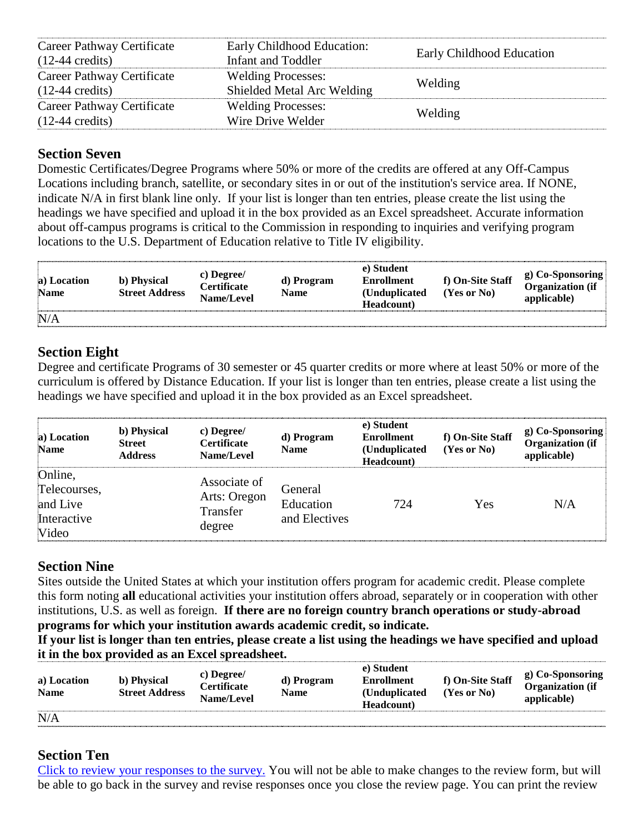| Career Pathway Certificate<br>$(12-44 \text{ credits})$ | Early Childhood Education:<br>Infant and Toddler        | Early Childhood Education |
|---------------------------------------------------------|---------------------------------------------------------|---------------------------|
| Career Pathway Certificate<br>$(12-44 \text{ credits})$ | <b>Welding Processes:</b><br>Shielded Metal Arc Welding | Welding                   |
| Career Pathway Certificate<br>$(12-44 \text{ credits})$ | <b>Welding Processes:</b><br>Wire Drive Welder          | Welding                   |

## **Section Seven**

Domestic Certificates/Degree Programs where 50% or more of the credits are offered at any Off-Campus Locations including branch, satellite, or secondary sites in or out of the institution's service area. If NONE, indicate N/A in first blank line only. If your list is longer than ten entries, please create the list using the headings we have specified and upload it in the box provided as an Excel spreadsheet. Accurate information about off-campus programs is critical to the Commission in responding to inquiries and verifying program locations to the U.S. Department of Education relative to Title IV eligibility.

| a) Location<br><b>Name</b> | b) Physical<br><b>Street Address</b> | c) Degree/<br><b>Certificate</b><br>Name/Level | d) Program<br>Name | e) Student<br><b>Enrollment</b><br>(Unduplicated)<br>Headcount) | f) On-Site Staff<br>$(Yes$ or $No)$ | g) Co-Sponsoring<br><b>Organization</b> (if<br>applicable) |
|----------------------------|--------------------------------------|------------------------------------------------|--------------------|-----------------------------------------------------------------|-------------------------------------|------------------------------------------------------------|
| N/A                        |                                      |                                                |                    |                                                                 |                                     |                                                            |

# **Section Eight**

Degree and certificate Programs of 30 semester or 45 quarter credits or more where at least 50% or more of the curriculum is offered by Distance Education. If your list is longer than ten entries, please create a list using the headings we have specified and upload it in the box provided as an Excel spreadsheet.

| a) Location<br><b>Name</b>                                  | b) Physical<br><b>Street</b><br><b>Address</b> | c) Degree/<br><b>Certificate</b><br>Name/Level     | d) Program<br><b>Name</b>             | e) Student<br><b>Enrollment</b><br>(Unduplicated<br>Headcount) | f) On-Site Staff<br>$(Yes$ or $No)$ | g) Co-Sponsoring<br><b>Organization</b> (if<br>applicable) |
|-------------------------------------------------------------|------------------------------------------------|----------------------------------------------------|---------------------------------------|----------------------------------------------------------------|-------------------------------------|------------------------------------------------------------|
| Online,<br>Telecourses,<br>and Live<br>Interactive<br>Video |                                                | Associate of<br>Arts: Oregon<br>Transfer<br>degree | General<br>Education<br>and Electives | 724                                                            | Yes                                 | N/A                                                        |

# **Section Nine**

Sites outside the United States at which your institution offers program for academic credit. Please complete this form noting **all** educational activities your institution offers abroad, separately or in cooperation with other institutions, U.S. as well as foreign. **If there are no foreign country branch operations or study-abroad programs for which your institution awards academic credit, so indicate.** 

**If your list is longer than ten entries, please create a list using the headings we have specified and upload it in the box provided as an Excel spreadsheet.**

| a) Location<br><b>Name</b> | b) Physical<br><b>Street Address</b> | c) Degree/<br><b>Certificate</b><br>Name/Level | d) Program<br>Name | e) Student<br><b>Enrollment</b><br>(Unduplicated)<br>Headcount) | f) On-Site Staff<br>$(Yes$ or $No)$ | g) Co-Sponsoring<br><b>Organization</b> (if<br>applicable) |
|----------------------------|--------------------------------------|------------------------------------------------|--------------------|-----------------------------------------------------------------|-------------------------------------|------------------------------------------------------------|
| N/A                        |                                      |                                                |                    |                                                                 |                                     |                                                            |

# **Section Ten**

[Click to review your responses to the survey.](javascript:pressedReview();) You will not be able to make changes to the review form, but will be able to go back in the survey and revise responses once you close the review page. You can print the review